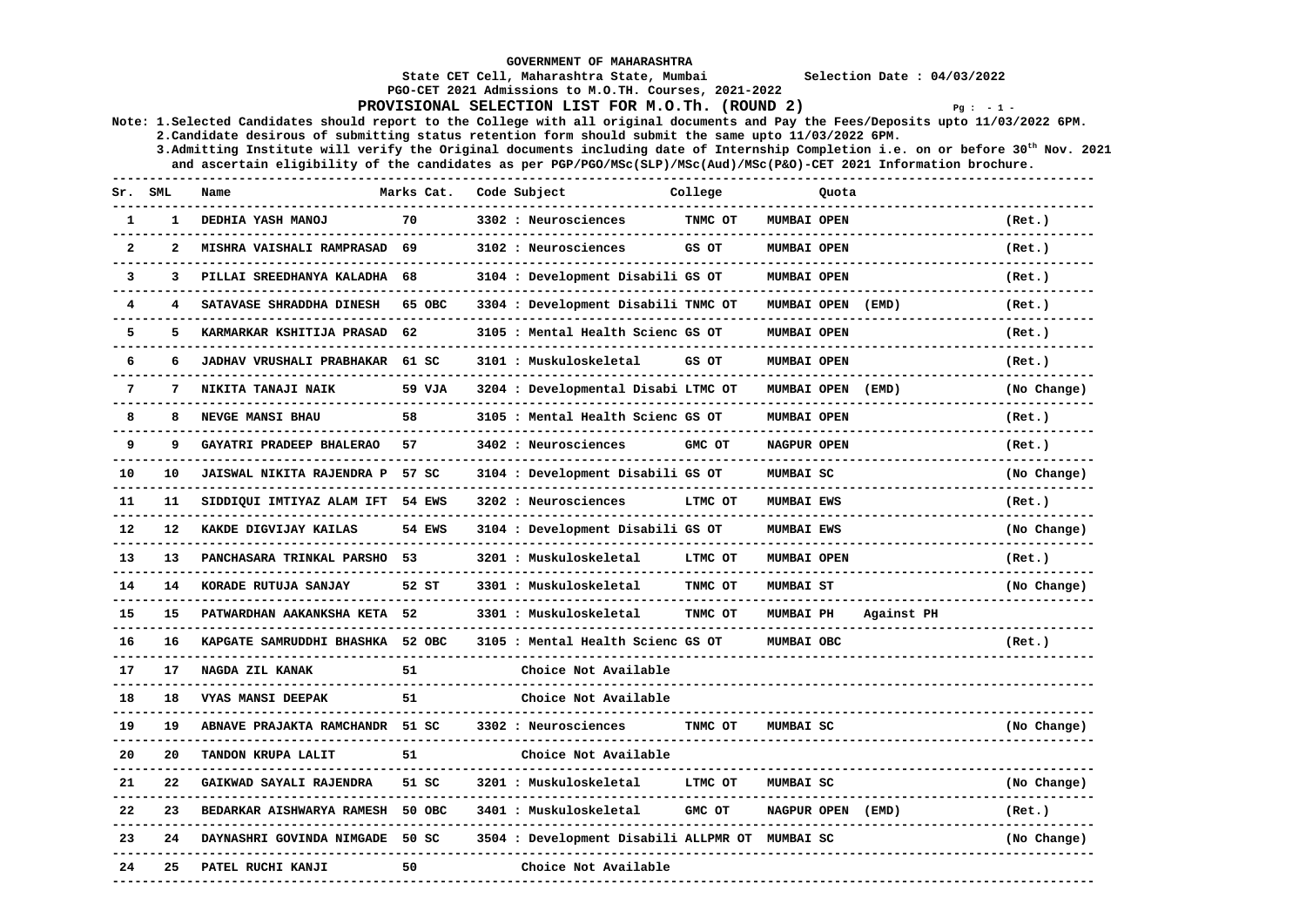**GOVERNMENT OF MAHARASHTRA** 

 **State CET Cell, Maharashtra State, Mumbai Selection Date : 04/03/2022** 

 **PGO-CET 2021 Admissions to M.O.TH. Courses, 2021-2022** 

**PROVISIONAL SELECTION LIST FOR M.O.Th. (ROUND 2)**  $Pq : -1 -$ 

**Note: 1.Selected Candidates should report to the College with all original documents and Pay the Fees/Deposits upto 11/03/2022 6PM. 2.Candidate desirous of submitting status retention form should submit the same upto 11/03/2022 6PM.** 

 **3.Admitting Institute will verify the Original documents including date of Internship Completion i.e. on or before 30th Nov. 2021 and ascertain eligibility of the candidates as per PGP/PGO/MSc(SLP)/MSc(Aud)/MSc(P&O)-CET 2021 Information brochure.** 

| sr.            | SML          | Name                         | Marks Cat. | Code Subject                          | College | Quota              |            |             |
|----------------|--------------|------------------------------|------------|---------------------------------------|---------|--------------------|------------|-------------|
| $\mathbf{1}$   | 1            | DEDHIA YASH MANOJ            | 70         | 3302 : Neurosciences                  | TNMC OT | <b>MUMBAI OPEN</b> |            | (Ret.)      |
| $\overline{2}$ | $\mathbf{z}$ | MISHRA VAISHALI RAMPRASAD    | 69         | 3102 : Neurosciences                  | GS OT   | MUMBAI OPEN        |            | (Ret.)      |
| 3              | 3            | PILLAI SREEDHANYA KALADHA    | 68         | 3104 : Development Disabili GS OT     |         | <b>MUMBAI OPEN</b> |            | (Ret.)      |
| 4              |              | SATAVASE SHRADDHA DINESH     | 65 OBC     | 3304 : Development Disabili TNMC OT   |         | MUMBAI OPEN        | (EMD)      | (Ret.)      |
| 5              | 5            | KARMARKAR KSHITIJA PRASAD    | 62         | 3105 : Mental Health Scienc GS OT     |         | MUMBAI OPEN        |            | (Ret.)      |
| 6              | 6            | JADHAV VRUSHALI PRABHAKAR    | 61 SC      | 3101 : Muskuloskeletal                | GS OT   | MUMBAI OPEN        |            | (Ret.)      |
| $\overline{7}$ | 7            | NIKITA TANAJI NAIK           | 59 VJA     | 3204 : Developmental Disabi LTMC OT   |         | MUMBAI OPEN        | (EMD)      | (No Change) |
| 8              | 8            | NEVGE MANSI BHAU             | 58         | 3105 : Mental Health Scienc GS OT     |         | MUMBAI OPEN        |            | (Ret.)      |
| 9              | 9            | GAYATRI PRADEEP BHALERAO     | 57         | 3402 : Neurosciences                  | GMC OT  | NAGPUR OPEN        |            | (Ret.)      |
| 10             | 10           | JAISWAL NIKITA RAJENDRA P    | 57 SC      | 3104 : Development Disabili GS OT     |         | MUMBAI SC          |            | (No Change) |
| 11             | 11           | SIDDIQUI IMTIYAZ ALAM IFT    | 54 EWS     | 3202 : Neurosciences                  | LTMC OT | <b>MUMBAI EWS</b>  |            | (Ret.)      |
| $12 \,$        | 12           | KAKDE DIGVIJAY KAILAS        | 54 EWS     | 3104 : Development Disabili GS OT     |         | <b>MUMBAI EWS</b>  |            | (No Change) |
| 13             | 13           | PANCHASARA TRINKAL PARSHO    | 53         | 3201 : Muskuloskeletal                | LTMC OT | MUMBAI OPEN        |            | (Ret.)      |
| 14             | 14           | KORADE RUTUJA SANJAY         | 52 ST      | 3301 : Muskuloskeletal                | TNMC OT | <b>MUMBAI ST</b>   |            | (No Change) |
| 15             | 15           | PATWARDHAN AAKANKSHA KETA 52 |            | 3301 : Muskuloskeletal                | TNMC OT | <b>MUMBAI PH</b>   | Against PH |             |
| 16             | 16           | KAPGATE SAMRUDDHI BHASHKA    | 52 OBC     | 3105 : Mental Health Scienc GS OT     |         | MUMBAI OBC         |            | (Ret.)      |
| 17             | 17           | NAGDA ZIL KANAK              | 51         | Choice Not Available                  |         |                    |            |             |
| 18             | 18           | <b>VYAS MANSI DEEPAK</b>     | 51         | Choice Not Available                  |         |                    |            |             |
| 19             | 19           | ABNAVE PRAJAKTA RAMCHANDR    | 51 SC      | 3302 : Neurosciences                  | TNMC OT | MUMBAI SC          |            | (No Change) |
| 20             | 20           | TANDON KRUPA LALIT           | 51         | Choice Not Available                  |         |                    |            |             |
| 21             | 22           | GAIKWAD SAYALI RAJENDRA      | 51 SC      | 3201 : Muskuloskeletal                | LTMC OT | MUMBAI SC          |            | (No Change) |
| 22             | 23           | BEDARKAR AISHWARYA RAMESH    | 50 OBC     | 3401 : Muskuloskeletal                | GMC OT  | <b>NAGPUR OPEN</b> | (EMD)      | (Ret.)      |
| 23             | 24           | DAYNASHRI GOVINDA NIMGADE    | 50 SC      | 3504 : Development Disabili ALLPMR OT |         | MUMBAI SC          |            | (No Change) |
| 24             | 25           | PATEL RUCHI KANJI            | 50         | Choice Not Available                  |         |                    |            |             |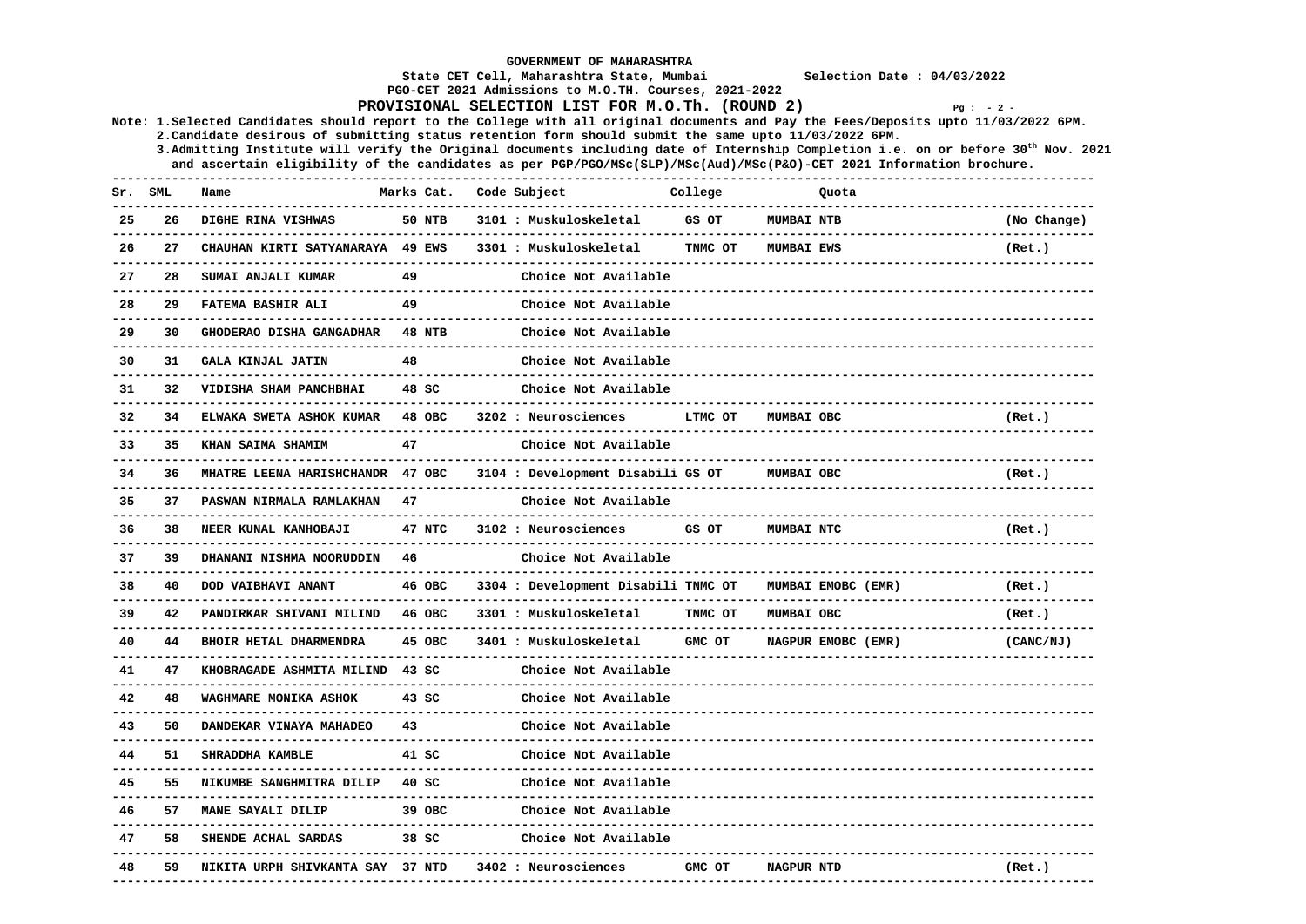|     |     |                                                                                                       |               | <b>GOVERNMENT OF MAHARASHTRA</b><br>State CET Cell, Maharashtra State, Mumbai |         | Selection Date : $04/03/2022$                                                                                                                       |             |
|-----|-----|-------------------------------------------------------------------------------------------------------|---------------|-------------------------------------------------------------------------------|---------|-----------------------------------------------------------------------------------------------------------------------------------------------------|-------------|
|     |     |                                                                                                       |               | PGO-CET 2021 Admissions to M.O.TH. Courses, 2021-2022                         |         |                                                                                                                                                     |             |
|     |     |                                                                                                       |               | PROVISIONAL SELECTION LIST FOR M.O.Th. (ROUND 2)                              |         | $Pg : -2 -$<br>Note: 1. Selected Candidates should report to the College with all original documents and Pay the Fees/Deposits upto 11/03/2022 6PM. |             |
|     |     | 2. Candidate desirous of submitting status retention form should submit the same upto 11/03/2022 6PM. |               |                                                                               |         | 3. Admitting Institute will verify the Original documents including date of Internship Completion i.e. on or before $30^{th}$ Nov. 2021             |             |
|     |     |                                                                                                       |               |                                                                               |         | and ascertain eligibility of the candidates as per PGP/PGO/MSc(SLP)/MSc(Aud)/MSc(P&O)-CET 2021 Information brochure.                                |             |
| Sr. | SML | Name                                                                                                  | Marks Cat.    | Code Subject                                                                  | College | Quota                                                                                                                                               |             |
| 25  | 26  | DIGHE RINA VISHWAS                                                                                    | 50 NTB        | 3101 : Muskuloskeletal                                                        | GS OT   | <b>MUMBAI NTB</b>                                                                                                                                   | (No Change) |
| 26  | 27  | CHAUHAN KIRTI SATYANARAYA 49 EWS                                                                      |               | 3301 : Muskuloskeletal                                                        | TNMC OT | <b>MUMBAI EWS</b>                                                                                                                                   | (Ret.)      |
| 27  | 28  | SUMAI ANJALI KUMAR                                                                                    | 49            | Choice Not Available                                                          |         |                                                                                                                                                     |             |
| 28  | 29  | FATEMA BASHIR ALI                                                                                     | 49            | Choice Not Available                                                          |         |                                                                                                                                                     |             |
| 29  | 30  | GHODERAO DISHA GANGADHAR                                                                              | <b>48 NTB</b> | Choice Not Available                                                          |         |                                                                                                                                                     |             |
| 30  | 31  | GALA KINJAL JATIN<br>______________________                                                           | 48            | Choice Not Available                                                          |         |                                                                                                                                                     |             |
| 31  | 32  | VIDISHA SHAM PANCHBHAI                                                                                | 48 SC         | Choice Not Available                                                          |         |                                                                                                                                                     |             |
| 32  | 34. | ELWAKA SWETA ASHOK KUMAR<br>-----------------                                                         | 48 OBC        | 3202 : Neurosciences                                                          | LTMC OT | MUMBAI OBC                                                                                                                                          | (Ret.)      |
| 33  | 35  | KHAN SAIMA SHAMIM                                                                                     | 47            | Choice Not Available                                                          |         |                                                                                                                                                     |             |
| 34  | 36  | MHATRE LEENA HARISHCHANDR 47 OBC                                                                      |               | 3104 : Development Disabili GS OT                                             |         | MUMBAI OBC                                                                                                                                          | (Ret.)      |
| 35  | 37  | PASWAN NIRMALA RAMLAKHAN<br><u>Liberation</u>                                                         | 47            | Choice Not Available                                                          |         |                                                                                                                                                     |             |
| 36  | 38  | NEER KUNAL KANHOBAJI                                                                                  | 47 NTC        | 3102 : Neurosciences                                                          | GS OT   | MUMBAI NTC                                                                                                                                          | (Ret.)      |
| 37  | 39  | DHANANI NISHMA NOORUDDIN                                                                              | 46            | Choice Not Available                                                          |         |                                                                                                                                                     |             |
| 38  | 40  | DOD VAIBHAVI ANANT                                                                                    | 46 OBC        | 3304 : Development Disabili TNMC OT                                           |         | MUMBAI EMOBC (EMR)                                                                                                                                  | (Ret.)      |
| 39  | 42  | PANDIRKAR SHIVANI MILIND                                                                              | 46 OBC        | 3301 : Muskuloskeletal                                                        | TNMC OT | MUMBAI OBC                                                                                                                                          | (Ret.)      |
| 40  | 44  | BHOIR HETAL DHARMENDRA                                                                                | 45 OBC        | 3401 : Muskuloskeletal                                                        | GMC OT  | NAGPUR EMOBC (EMR)                                                                                                                                  | (CANC/NJ)   |
| 41  | 47  | KHOBRAGADE ASHMITA MILIND                                                                             | 43 SC         | Choice Not Available                                                          |         |                                                                                                                                                     |             |
| 42  | 48  | WAGHMARE MONIKA ASHOK                                                                                 | $43$ $SC$     | Choice Not Available                                                          |         |                                                                                                                                                     |             |
| 43  | 50  | DANDEKAR VINAYA MAHADEO                                                                               | 43            | Choice Not Available                                                          |         |                                                                                                                                                     |             |
| 44  | 51  | <b>SHRADDHA KAMBLE</b>                                                                                | 41 SC         | Choice Not Available                                                          |         |                                                                                                                                                     |             |
| 45  | 55  | NIKUMBE SANGHMITRA DILIP                                                                              | 40 SC         | Choice Not Available                                                          |         | ---------------------                                                                                                                               |             |
| 46  | 57  | <b>MANE SAYALI DILIP</b>                                                                              | 39 OBC        | Choice Not Available                                                          |         |                                                                                                                                                     |             |
| 47  | 58  | SHENDE ACHAL SARDAS                                                                                   | 38 SC         | Choice Not Available<br>-------------------                                   |         |                                                                                                                                                     |             |
| 48  | 59  | NIKITA URPH SHIVKANTA SAY 37 NTD                                                                      |               | 3402 : Neurosciences                                                          | GMC OT  | <b>NAGPUR NTD</b>                                                                                                                                   | (Ret.)      |